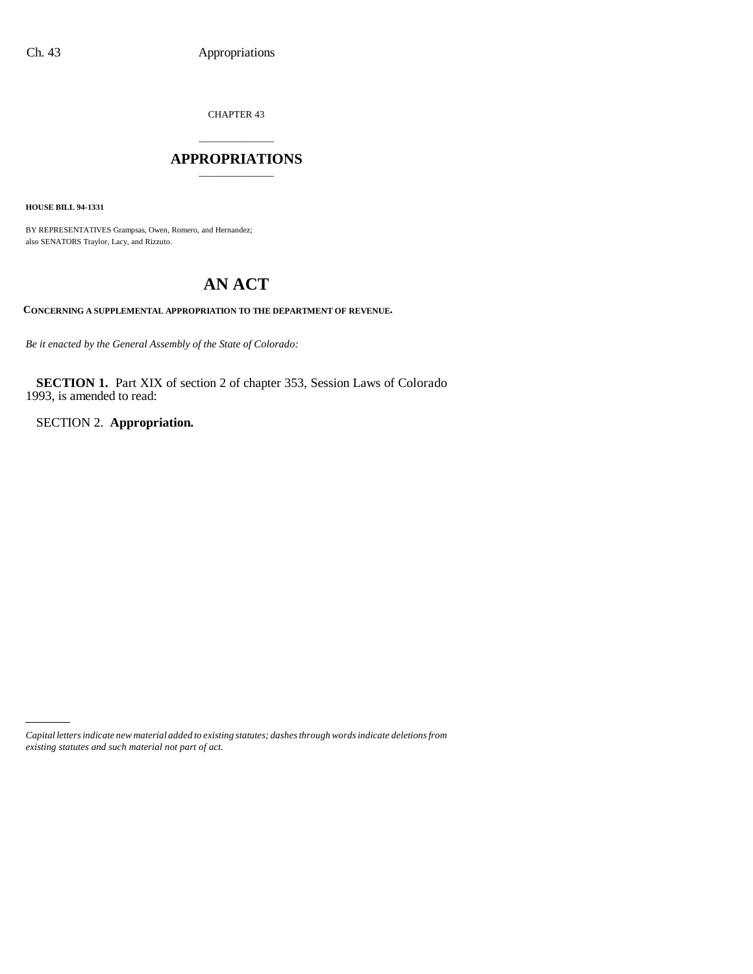CHAPTER 43

# \_\_\_\_\_\_\_\_\_\_\_\_\_\_\_ **APPROPRIATIONS** \_\_\_\_\_\_\_\_\_\_\_\_\_\_\_

**HOUSE BILL 94-1331**

BY REPRESENTATIVES Grampsas, Owen, Romero, and Hernandez; also SENATORS Traylor, Lacy, and Rizzuto.

# **AN ACT**

**CONCERNING A SUPPLEMENTAL APPROPRIATION TO THE DEPARTMENT OF REVENUE.**

*Be it enacted by the General Assembly of the State of Colorado:*

**SECTION 1.** Part XIX of section 2 of chapter 353, Session Laws of Colorado 1993, is amended to read:

SECTION 2. **Appropriation.**

*Capital letters indicate new material added to existing statutes; dashes through words indicate deletions from existing statutes and such material not part of act.*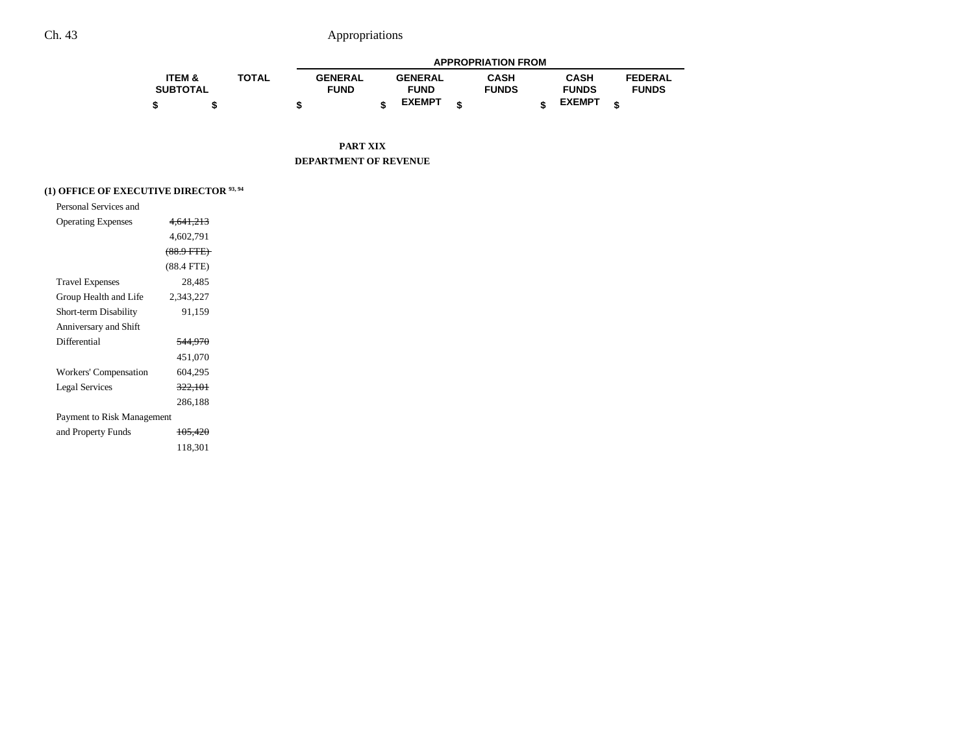|                   |              |                |                | <b>APPROPRIATION FROM</b> |               |                |
|-------------------|--------------|----------------|----------------|---------------------------|---------------|----------------|
| <b>ITEM &amp;</b> | <b>TOTAL</b> | <b>GENERAL</b> | <b>GENERAL</b> | <b>CASH</b>               | <b>CASH</b>   | <b>FEDERAL</b> |
| <b>SUBTOTAL</b>   |              | <b>FUND</b>    | <b>FUND</b>    | <b>FUNDS</b>              | <b>FUNDS</b>  | <b>FUNDS</b>   |
| \$                |              |                | <b>EXEMPT</b>  |                           | <b>EXEMPT</b> |                |

**PART XIX DEPARTMENT OF REVENUE**

## **(1) OFFICE OF EXECUTIVE DIRECTOR 93, 94**

| Personal Services and      |                    |  |
|----------------------------|--------------------|--|
| <b>Operating Expenses</b>  | 4,641,213          |  |
|                            | 4,602,791          |  |
|                            | $(88.9$ FTE)       |  |
|                            | $(88.4$ FTE)       |  |
| <b>Travel Expenses</b>     | 28,485             |  |
| Group Health and Life      | 2,343,227          |  |
| Short-term Disability      | 91,159             |  |
| Anniversary and Shift      |                    |  |
| Differential               | <del>544,970</del> |  |
|                            | 451,070            |  |
| Workers' Compensation      | 604,295            |  |
| <b>Legal Services</b>      | 322,101            |  |
|                            | 286,188            |  |
| Payment to Risk Management |                    |  |
| and Property Funds         | 105,420            |  |
|                            | 118.301            |  |
|                            |                    |  |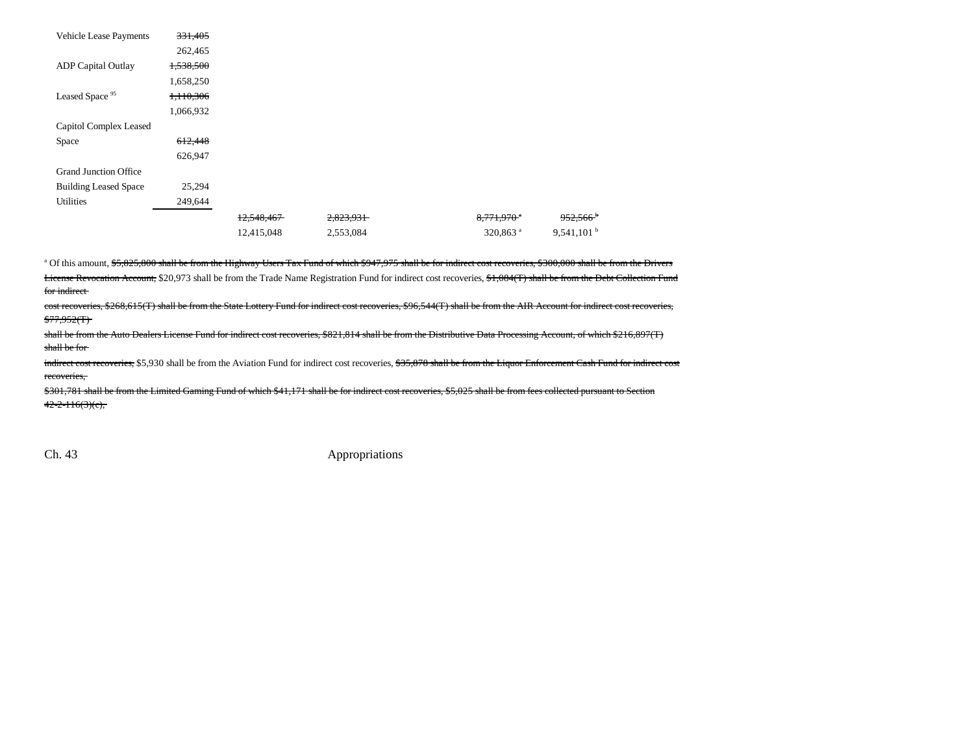| <b>Vehicle Lease Payments</b> | 331,405   |            |           |                        |                        |
|-------------------------------|-----------|------------|-----------|------------------------|------------------------|
|                               | 262,465   |            |           |                        |                        |
| <b>ADP</b> Capital Outlay     | 1,538,500 |            |           |                        |                        |
|                               | 1,658,250 |            |           |                        |                        |
| Leased Space <sup>95</sup>    | 1,110,306 |            |           |                        |                        |
|                               | 1,066,932 |            |           |                        |                        |
| Capitol Complex Leased        |           |            |           |                        |                        |
| Space                         | 612,448   |            |           |                        |                        |
|                               | 626,947   |            |           |                        |                        |
| <b>Grand Junction Office</b>  |           |            |           |                        |                        |
| <b>Building Leased Space</b>  | 25,294    |            |           |                        |                        |
| Utilities                     | 249,644   |            |           |                        |                        |
|                               |           | 12,548,467 | 2,823,931 | 8,771,970 <sup>a</sup> | $952,566$ <sup>b</sup> |
|                               |           | 12,415,048 | 2,553,084 | 320,863 <sup>a</sup>   | 9,541,101 <sup>b</sup> |

a Of this amount, \$5,825,800 shall be from the Highway Users Tax Fund of which \$947,975 shall be for indirect cost recoveries, \$300,000 shall be from the Drivers License Revocation Account, \$20,973 shall be from the Trade Name Registration Fund for indirect cost recoveries, \$1,084(T) shall be from the Debt Collection Fund for indirect

cost recoveries, \$268,615(T) shall be from the State Lottery Fund for indirect cost recoveries, \$96,544(T) shall be from the AIR Account for indirect cost recoveries,  $$77,952(T)$ 

shall be from the Auto Dealers License Fund for indirect cost recoveries, \$821,814 shall be from the Distributive Data Processing Account, of which \$216,897(T) shall be for

indirect cost recoveries, \$5,930 shall be from the Aviation Fund for indirect cost recoveries, \$35,878 shall be from the Liquor Enforcement Cash Fund for indirect cost recoveries,

\$301,781 shall be from the Limited Gaming Fund of which \$41,171 shall be for indirect cost recoveries, \$5,025 shall be from fees collected pursuant to Section  $42 - 2 - 116(3)(c)$ ,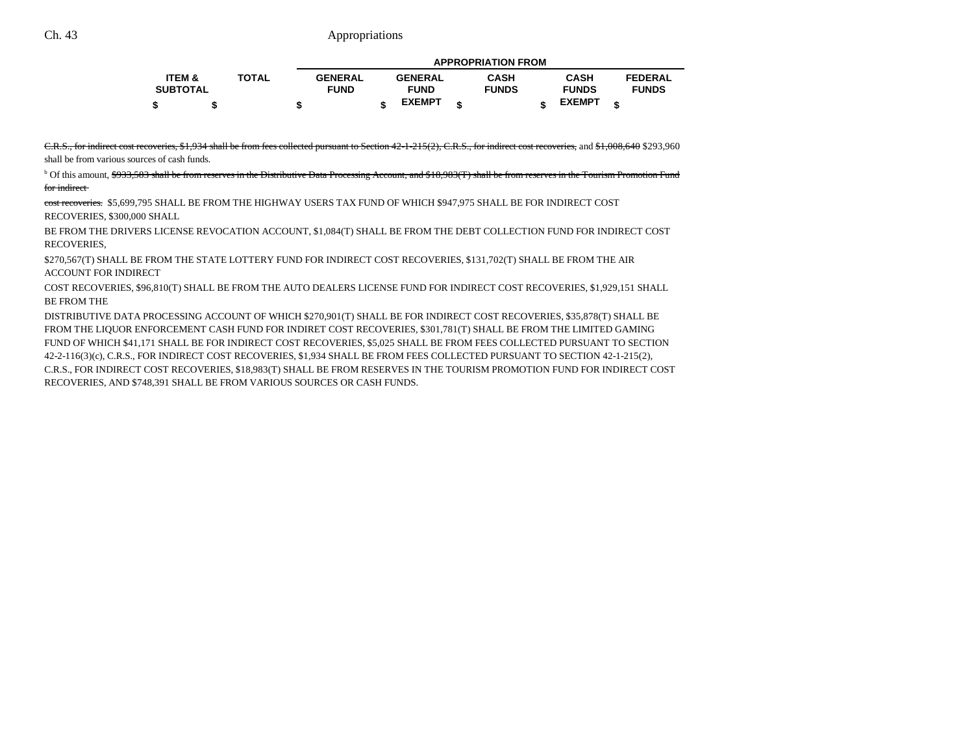|                   |              |                |                | <b>APPROPRIATION FROM</b> |               |   |                |
|-------------------|--------------|----------------|----------------|---------------------------|---------------|---|----------------|
| <b>ITEM &amp;</b> | <b>TOTAL</b> | <b>GENERAL</b> | <b>GENERAL</b> | <b>CASH</b>               | <b>CASH</b>   |   | <b>FEDERAL</b> |
| <b>SUBTOTAL</b>   |              | <b>FUND</b>    | <b>FUND</b>    | <b>FUNDS</b>              | <b>FUNDS</b>  |   | <b>FUNDS</b>   |
|                   |              |                | <b>EXEMPT</b>  |                           | <b>EXEMPT</b> | ¢ |                |

C.R.S., for indirect cost recoveries, \$1,934 shall be from fees collected pursuant to Section 42-1-215(2), C.R.S., for indirect cost recoveries, and \$1,008,640 \$293,960

shall be from various sources of cash funds.

<sup>b</sup> Of this amount, \$933,583 shall be from reserves in the Distributive Data Processing Account, and \$18,983(T) shall be from reserves in the Tourism Promotion Fund for indirect

cost recoveries. \$5,699,795 SHALL BE FROM THE HIGHWAY USERS TAX FUND OF WHICH \$947,975 SHALL BE FOR INDIRECT COST RECOVERIES, \$300,000 SHALL

BE FROM THE DRIVERS LICENSE REVOCATION ACCOUNT, \$1,084(T) SHALL BE FROM THE DEBT COLLECTION FUND FOR INDIRECT COST RECOVERIES,

\$270,567(T) SHALL BE FROM THE STATE LOTTERY FUND FOR INDIRECT COST RECOVERIES, \$131,702(T) SHALL BE FROM THE AIR ACCOUNT FOR INDIRECT

COST RECOVERIES, \$96,810(T) SHALL BE FROM THE AUTO DEALERS LICENSE FUND FOR INDIRECT COST RECOVERIES, \$1,929,151 SHALL BE FROM THE

DISTRIBUTIVE DATA PROCESSING ACCOUNT OF WHICH \$270,901(T) SHALL BE FOR INDIRECT COST RECOVERIES, \$35,878(T) SHALL BE FROM THE LIQUOR ENFORCEMENT CASH FUND FOR INDIRET COST RECOVERIES, \$301,781(T) SHALL BE FROM THE LIMITED GAMING FUND OF WHICH \$41,171 SHALL BE FOR INDIRECT COST RECOVERIES, \$5,025 SHALL BE FROM FEES COLLECTED PURSUANT TO SECTION 42-2-116(3)(c), C.R.S., FOR INDIRECT COST RECOVERIES, \$1,934 SHALL BE FROM FEES COLLECTED PURSUANT TO SECTION 42-1-215(2), C.R.S., FOR INDIRECT COST RECOVERIES, \$18,983(T) SHALL BE FROM RESERVES IN THE TOURISM PROMOTION FUND FOR INDIRECT COST RECOVERIES, AND \$748,391 SHALL BE FROM VARIOUS SOURCES OR CASH FUNDS.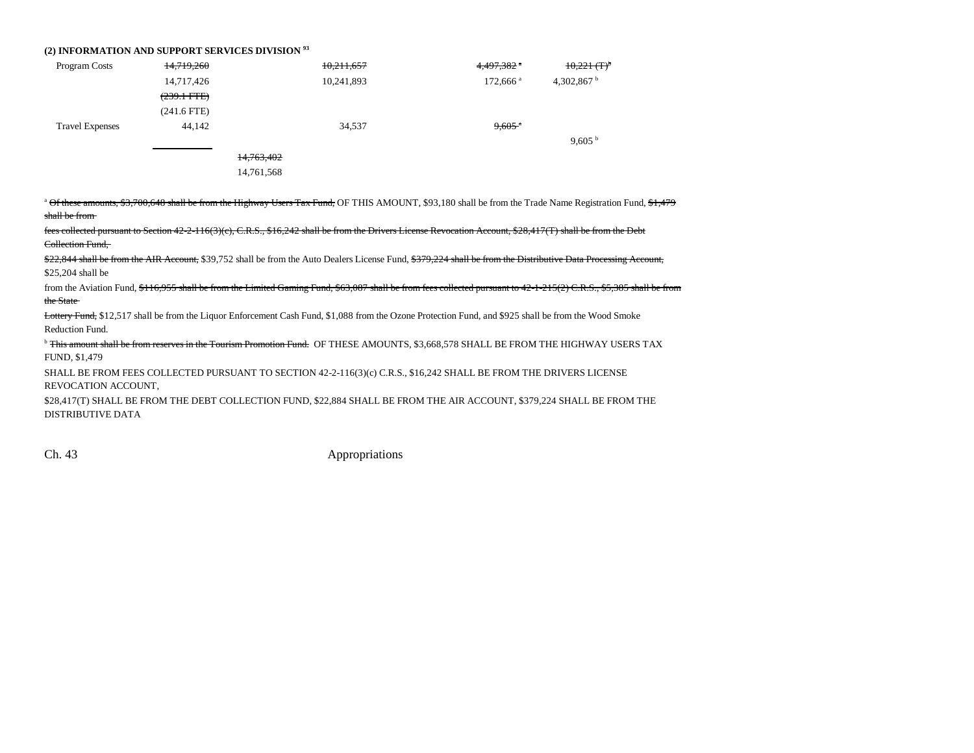#### **(2) INFORMATION AND SUPPORT SERVICES DIVISION 93**

| Program Costs          | 14,719,260            | 10,211,657 | 4,497,382 *            | $10,221$ (T) <sup>b</sup> |
|------------------------|-----------------------|------------|------------------------|---------------------------|
|                        | 14,717,426            | 10,241,893 | $172,666$ <sup>a</sup> | 4,302,867 $^{\rm b}$      |
|                        | $(239.1 \text{ FTE})$ |            |                        |                           |
|                        | $(241.6$ FTE)         |            |                        |                           |
| <b>Travel Expenses</b> | 44,142                | 34,537     | $9,605$ <sup>a</sup>   |                           |
|                        |                       |            |                        | 9,605 <sup>b</sup>        |
|                        |                       | 14,763,402 |                        |                           |
|                        |                       | 14,761,568 |                        |                           |

<sup>a</sup> Of these amounts, \$3,700,648 shall be from the Highway Users Tax Fund, OF THIS AMOUNT, \$93,180 shall be from the Trade Name Registration Fund, \$1,479 shall be from

fees collected pursuant to Section 42-2-116(3)(c), C.R.S., \$16,242 shall be from the Drivers License Revocation Account, \$28,417(T) shall be from the Debt Collection Fund,

\$22,844 shall be from the AIR Account, \$39,752 shall be from the Auto Dealers License Fund, \$379,224 shall be from the Distributive Data Processing Account, \$25,204 shall be

from the Aviation Fund, \$116,955 shall be from the Limited Gaming Fund, \$63,087 shall be from fees collected pursuant to 42-1-215(2) C.R.S., \$5,385 shall be from t<del>he State</del>

Lottery Fund, \$12,517 shall be from the Liquor Enforcement Cash Fund, \$1,088 from the Ozone Protection Fund, and \$925 shall be from the Wood Smoke Reduction Fund.

<sup>b</sup> This amount shall be from reserves in the Tourism Promotion Fund. OF THESE AMOUNTS, \$3,668,578 SHALL BE FROM THE HIGHWAY USERS TAX FUND, \$1,479

SHALL BE FROM FEES COLLECTED PURSUANT TO SECTION 42-2-116(3)(c) C.R.S., \$16,242 SHALL BE FROM THE DRIVERS LICENSE REVOCATION ACCOUNT,

\$28,417(T) SHALL BE FROM THE DEBT COLLECTION FUND, \$22,884 SHALL BE FROM THE AIR ACCOUNT, \$379,224 SHALL BE FROM THE DISTRIBUTIVE DATA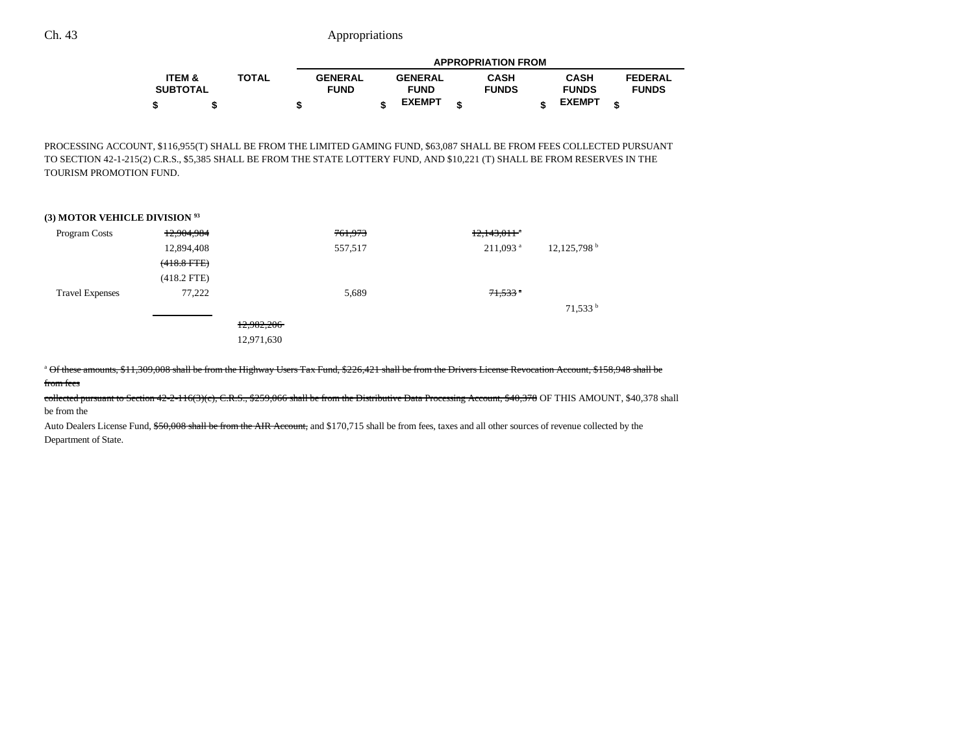|                   |              |                |                | <b>APPROPRIATION FROM</b> |               |                |  |
|-------------------|--------------|----------------|----------------|---------------------------|---------------|----------------|--|
| <b>ITEM &amp;</b> | <b>TOTAL</b> | <b>GENERAL</b> | <b>GENERAL</b> | <b>CASH</b>               | <b>CASH</b>   | <b>FEDERAL</b> |  |
| <b>SUBTOTAL</b>   |              | <b>FUND</b>    | <b>FUND</b>    | <b>FUNDS</b>              | <b>FUNDS</b>  | <b>FUNDS</b>   |  |
|                   |              | œ              | <b>EXEMPT</b>  |                           | <b>EXEMPT</b> |                |  |

PROCESSING ACCOUNT, \$116,955(T) SHALL BE FROM THE LIMITED GAMING FUND, \$63,087 SHALL BE FROM FEES COLLECTED PURSUANT TO SECTION 42-1-215(2) C.R.S., \$5,385 SHALL BE FROM THE STATE LOTTERY FUND, AND \$10,221 (T) SHALL BE FROM RESERVES IN THE TOURISM PROMOTION FUND.

#### **(3) MOTOR VEHICLE DIVISION 93**

| Program Costs          | 12,904,984    | 761,973    | $12,143,011$ <sup>a</sup> |                           |
|------------------------|---------------|------------|---------------------------|---------------------------|
|                        | 12,894,408    | 557,517    | $211,093$ <sup>a</sup>    | $12,125,798$ <sup>b</sup> |
|                        | $(418.8$ FTE) |            |                           |                           |
|                        | $(418.2$ FTE) |            |                           |                           |
| <b>Travel Expenses</b> | 77,222        | 5,689      | $71,533$ <sup>a</sup>     |                           |
|                        |               |            |                           | $71,533$ <sup>b</sup>     |
|                        |               | 12,982,206 |                           |                           |
|                        |               | 12,971,630 |                           |                           |

<sup>a</sup> Of these amounts, \$11,309,008 shall be from the Highway Users Tax Fund, \$226,421 shall be from the Drivers License Revocation Account, \$158,948 shall be

f<del>rom fees</del>

collected pursuant to Section 42-2-116(3)(c), C.R.S., \$259,066 shall be from the Distributive Data Processing Account, \$40,378 OF THIS AMOUNT, \$40,378 shall be from the

Auto Dealers License Fund, \$50,008 shall be from the AIR Account, and \$170,715 shall be from fees, taxes and all other sources of revenue collected by the Department of State.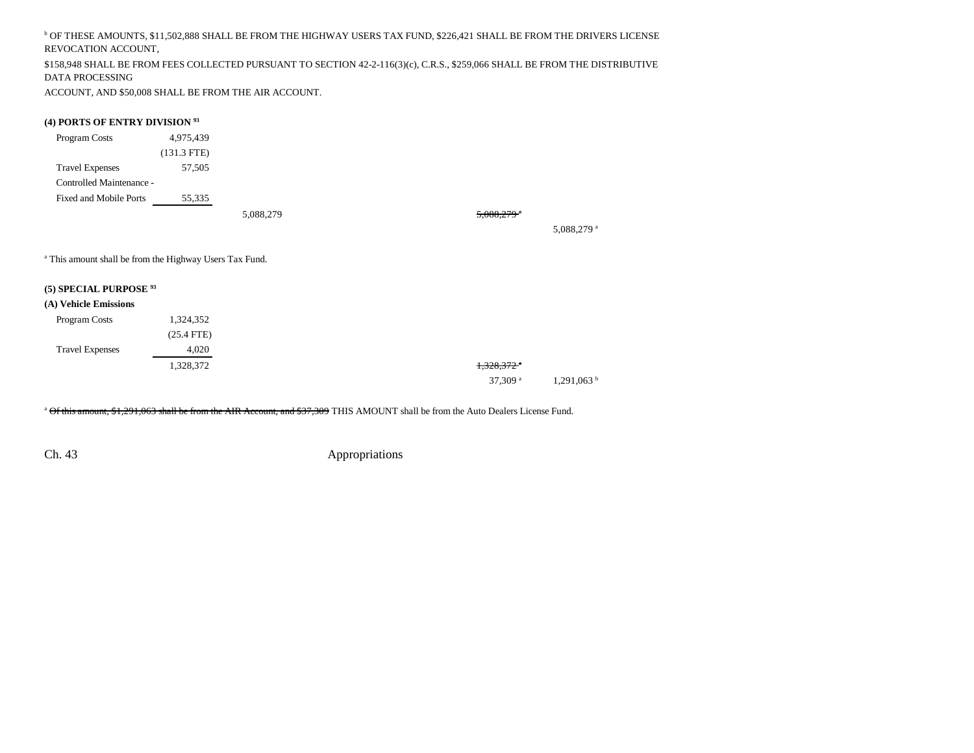b OF THESE AMOUNTS, \$11,502,888 SHALL BE FROM THE HIGHWAY USERS TAX FUND, \$226,421 SHALL BE FROM THE DRIVERS LICENSE REVOCATION ACCOUNT,

\$158,948 SHALL BE FROM FEES COLLECTED PURSUANT TO SECTION 42-2-116(3)(c), C.R.S., \$259,066 SHALL BE FROM THE DISTRIBUTIVE DATA PROCESSING

ACCOUNT, AND \$50,008 SHALL BE FROM THE AIR ACCOUNT.

### **(4) PORTS OF ENTRY DIVISION 93**

| Program Costs            | 4,975,439     |  |
|--------------------------|---------------|--|
|                          | $(131.3$ FTE) |  |
| <b>Travel Expenses</b>   | 57,505        |  |
| Controlled Maintenance - |               |  |
| Fixed and Mobile Ports   | 55,335        |  |
|                          |               |  |

5,088,279 5,088,279 5,088,279 5

5,088,279 a

<sup>a</sup> This amount shall be from the Highway Users Tax Fund.

## **(5) SPECIAL PURPOSE 93**

#### **(A) Vehicle Emissions**

| Program Costs          | 1,324,352    |                          |  |
|------------------------|--------------|--------------------------|--|
|                        | $(25.4$ FTE) |                          |  |
| <b>Travel Expenses</b> | 4,020        |                          |  |
|                        | 1,328,372    | $1,328,372$ <sup>*</sup> |  |
|                        |              | 37,309 $a$               |  |

<sup>a</sup> Of this amount, \$1,291,063 shall be from the AIR Account, and \$37,309 THIS AMOUNT shall be from the Auto Dealers License Fund.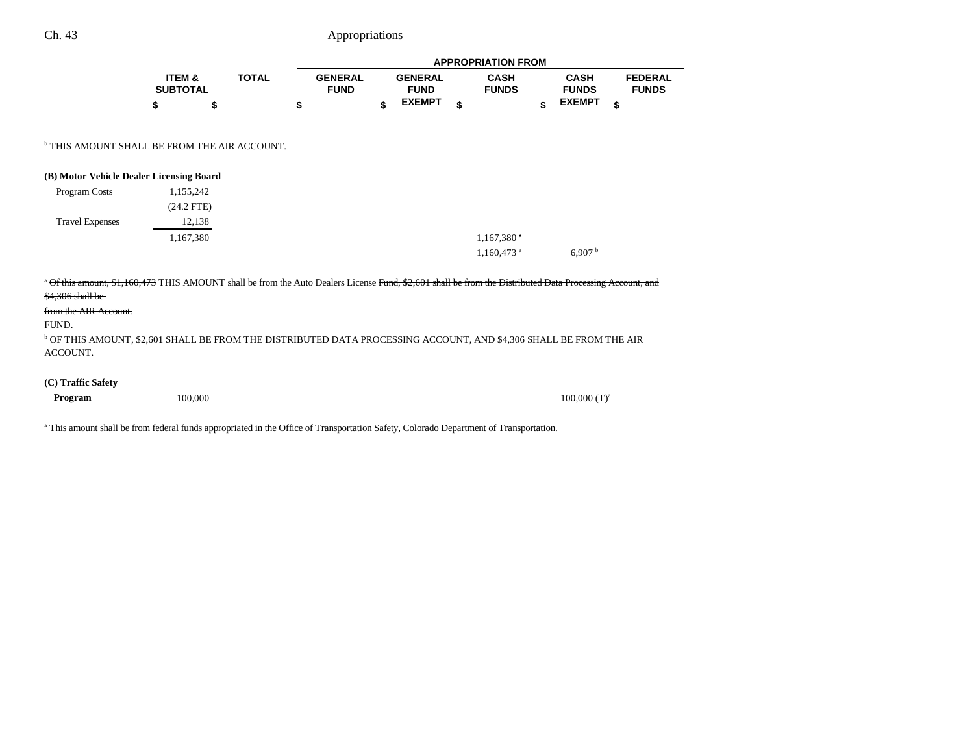|                                                                                                                                                                                                                                                                                                                                                                          |                                      |              |                               |                               | <b>APPROPRIATION FROM</b>   |                             |                                |
|--------------------------------------------------------------------------------------------------------------------------------------------------------------------------------------------------------------------------------------------------------------------------------------------------------------------------------------------------------------------------|--------------------------------------|--------------|-------------------------------|-------------------------------|-----------------------------|-----------------------------|--------------------------------|
|                                                                                                                                                                                                                                                                                                                                                                          | <b>ITEM &amp;</b><br><b>SUBTOTAL</b> | <b>TOTAL</b> | <b>GENERAL</b><br><b>FUND</b> | <b>GENERAL</b><br><b>FUND</b> | <b>CASH</b><br><b>FUNDS</b> | <b>CASH</b><br><b>FUNDS</b> | <b>FEDERAL</b><br><b>FUNDS</b> |
|                                                                                                                                                                                                                                                                                                                                                                          | \$<br>\$                             |              | \$                            | \$<br><b>EXEMPT</b>           | \$<br>\$                    | <b>EXEMPT</b>               | \$                             |
| <sup>b</sup> THIS AMOUNT SHALL BE FROM THE AIR ACCOUNT.                                                                                                                                                                                                                                                                                                                  |                                      |              |                               |                               |                             |                             |                                |
| (B) Motor Vehicle Dealer Licensing Board                                                                                                                                                                                                                                                                                                                                 |                                      |              |                               |                               |                             |                             |                                |
| Program Costs                                                                                                                                                                                                                                                                                                                                                            | 1,155,242                            |              |                               |                               |                             |                             |                                |
|                                                                                                                                                                                                                                                                                                                                                                          | $(24.2$ FTE)                         |              |                               |                               |                             |                             |                                |
| <b>Travel Expenses</b>                                                                                                                                                                                                                                                                                                                                                   | 12,138                               |              |                               |                               |                             |                             |                                |
|                                                                                                                                                                                                                                                                                                                                                                          | 1,167,380                            |              |                               |                               | $1,167,380$ <sup>*</sup>    |                             |                                |
|                                                                                                                                                                                                                                                                                                                                                                          |                                      |              |                               |                               | $1,160,473$ <sup>a</sup>    | 6,907 h                     |                                |
| <sup>a</sup> Of this amount, \$1,160,473 THIS AMOUNT shall be from the Auto Dealers License Fund, \$2,601 shall be from the Distributed Data Processing Account, and<br>$$4,306$ shall be<br>from the AIR Account.<br>FUND.<br><sup>b</sup> OF THIS AMOUNT, \$2,601 SHALL BE FROM THE DISTRIBUTED DATA PROCESSING ACCOUNT, AND \$4,306 SHALL BE FROM THE AIR<br>ACCOUNT. |                                      |              |                               |                               |                             |                             |                                |
| (C) Traffic Safety                                                                                                                                                                                                                                                                                                                                                       |                                      |              |                               |                               |                             |                             |                                |
| Program                                                                                                                                                                                                                                                                                                                                                                  | 100,000                              |              |                               |                               |                             | $100,000$ (T) <sup>a</sup>  |                                |

<sup>a</sup> This amount shall be from federal funds appropriated in the Office of Transportation Safety, Colorado Department of Transportation.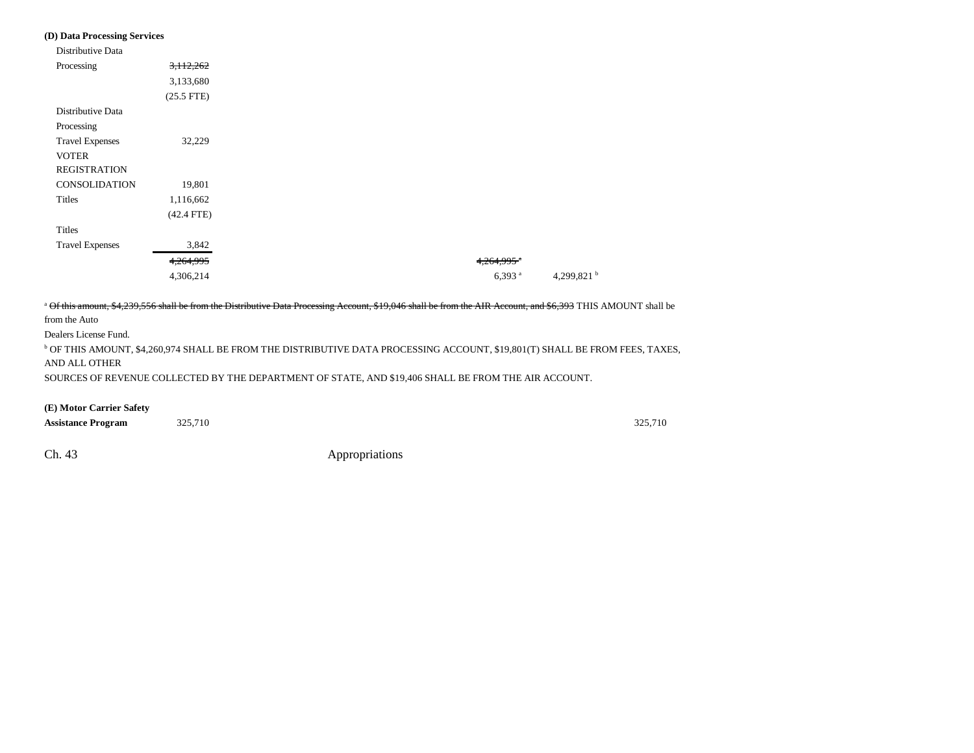#### **(D) Data Processing Services**

| Distributive Data      |              |
|------------------------|--------------|
|                        |              |
| Processing             | 3,112,262    |
|                        | 3,133,680    |
|                        | $(25.5$ FTE) |
| Distributive Data      |              |
| Processing             |              |
| <b>Travel Expenses</b> | 32,229       |
| <b>VOTER</b>           |              |
| <b>REGISTRATION</b>    |              |
| <b>CONSOLIDATION</b>   | 19,801       |
| Titles                 | 1,116,662    |
|                        | $(42.4$ FTE) |
| Titles                 |              |
| <b>Travel Expenses</b> | 3,842        |
|                        | 4,264,995    |
|                        | 4,306,214    |

<sup>a</sup> Of this amount, \$4,239,556 shall be from the Distributive Data Processing Account, \$19,046 shall be from the AIR Account, and \$6,393 THIS AMOUNT shall be from the Auto Dealers License Fund.  $^{\rm b}$  OF THIS AMOUNT, \$4,260,974 SHALL BE FROM THE DISTRIBUTIVE DATA PROCESSING ACCOUNT, \$19,801(T) SHALL BE FROM FEES, TAXES,

AND ALL OTHER

SOURCES OF REVENUE COLLECTED BY THE DEPARTMENT OF STATE, AND \$19,406 SHALL BE FROM THE AIR ACCOUNT.

**(E) Motor Carrier Safety**

| <b>Assistance Program</b> | 325,710 | 325,710 |
|---------------------------|---------|---------|
|                           |         |         |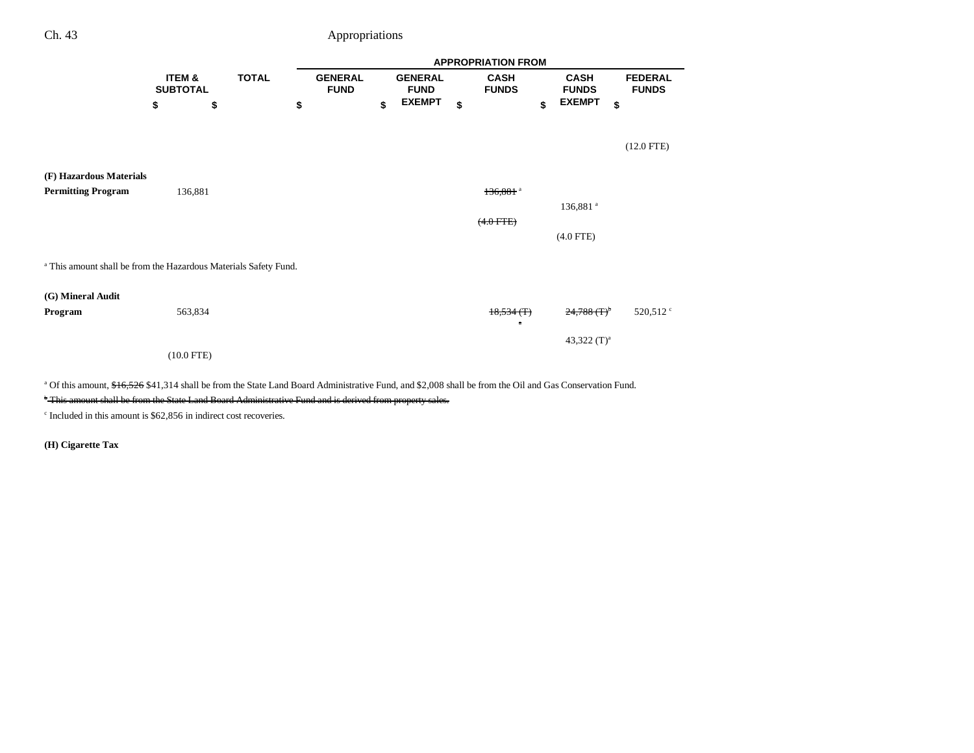|                                                                             |                           |              | <b>APPROPRIATION FROM</b> |                               |    |                               |    |                              |                             |                                |  |  |
|-----------------------------------------------------------------------------|---------------------------|--------------|---------------------------|-------------------------------|----|-------------------------------|----|------------------------------|-----------------------------|--------------------------------|--|--|
|                                                                             | ITEM &<br><b>SUBTOTAL</b> | <b>TOTAL</b> |                           | <b>GENERAL</b><br><b>FUND</b> |    | <b>GENERAL</b><br><b>FUND</b> |    | <b>CASH</b><br><b>FUNDS</b>  | <b>CASH</b><br><b>FUNDS</b> | <b>FEDERAL</b><br><b>FUNDS</b> |  |  |
|                                                                             | \$<br>\$                  |              | \$                        |                               | \$ | <b>EXEMPT</b>                 | \$ | \$                           | <b>EXEMPT</b>               | \$                             |  |  |
|                                                                             |                           |              |                           |                               |    |                               |    |                              |                             | $(12.0$ FTE)                   |  |  |
|                                                                             |                           |              |                           |                               |    |                               |    |                              |                             |                                |  |  |
| (F) Hazardous Materials                                                     |                           |              |                           |                               |    |                               |    |                              |                             |                                |  |  |
| <b>Permitting Program</b>                                                   | 136,881                   |              |                           |                               |    |                               |    | 136,881 <sup>a</sup>         |                             |                                |  |  |
|                                                                             |                           |              |                           |                               |    |                               |    |                              | 136,881 <sup>a</sup>        |                                |  |  |
|                                                                             |                           |              |                           |                               |    |                               |    | $(4.0$ FTE)                  |                             |                                |  |  |
|                                                                             |                           |              |                           |                               |    |                               |    |                              | $(4.0$ FTE)                 |                                |  |  |
| <sup>a</sup> This amount shall be from the Hazardous Materials Safety Fund. |                           |              |                           |                               |    |                               |    |                              |                             |                                |  |  |
| (G) Mineral Audit                                                           |                           |              |                           |                               |    |                               |    |                              |                             |                                |  |  |
| Program                                                                     | 563,834                   |              |                           |                               |    |                               |    | $18,534$ (T)<br>$\mathbf{a}$ | $24,788$ $(T)^{b}$          | $520{,}512$ $^{\circ}$         |  |  |
|                                                                             |                           |              |                           |                               |    |                               |    |                              | 43,322 $(T)^a$              |                                |  |  |
|                                                                             | $(10.0$ FTE)              |              |                           |                               |    |                               |    |                              |                             |                                |  |  |

<sup>a</sup> Of this amount, \$16,526 \$41,314 shall be from the State Land Board Administrative Fund, and \$2,008 shall be from the Oil and Gas Conservation Fund.

\* This amount shall be from the State Land Board Administrative Fund and is derived from property sales.

 $\degree$  Included in this amount is \$62,856 in indirect cost recoveries.

**(H) Cigarette Tax**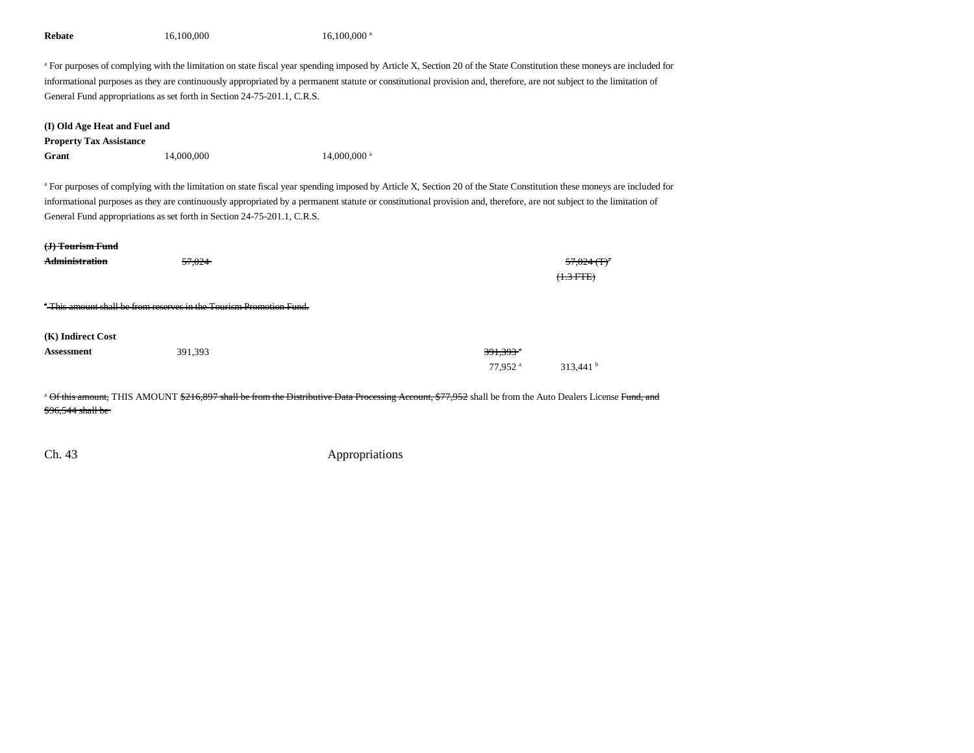| Rebate                                                                                                                                                                                                                                                                                                                                                                                                                                                                                                                         | 16,100,000                                                                                | $16,100,000$ <sup>a</sup>                                                                                                                                                                                                                                                                                                                      |                                             |         |  |  |  |  |
|--------------------------------------------------------------------------------------------------------------------------------------------------------------------------------------------------------------------------------------------------------------------------------------------------------------------------------------------------------------------------------------------------------------------------------------------------------------------------------------------------------------------------------|-------------------------------------------------------------------------------------------|------------------------------------------------------------------------------------------------------------------------------------------------------------------------------------------------------------------------------------------------------------------------------------------------------------------------------------------------|---------------------------------------------|---------|--|--|--|--|
|                                                                                                                                                                                                                                                                                                                                                                                                                                                                                                                                | General Fund appropriations as set forth in Section 24-75-201.1, C.R.S.                   | a For purposes of complying with the limitation on state fiscal year spending imposed by Article X, Section 20 of the State Constitution these moneys are included for<br>informational purposes as they are continuously appropriated by a permanent statute or constitutional provision and, therefore, are not subject to the limitation of |                                             |         |  |  |  |  |
| (I) Old Age Heat and Fuel and                                                                                                                                                                                                                                                                                                                                                                                                                                                                                                  |                                                                                           |                                                                                                                                                                                                                                                                                                                                                |                                             |         |  |  |  |  |
| <b>Property Tax Assistance</b>                                                                                                                                                                                                                                                                                                                                                                                                                                                                                                 |                                                                                           |                                                                                                                                                                                                                                                                                                                                                |                                             |         |  |  |  |  |
| Grant                                                                                                                                                                                                                                                                                                                                                                                                                                                                                                                          | 14,000,000                                                                                | 14,000,000 <sup>a</sup>                                                                                                                                                                                                                                                                                                                        |                                             |         |  |  |  |  |
| <sup>a</sup> For purposes of complying with the limitation on state fiscal year spending imposed by Article X, Section 20 of the State Constitution these moneys are included for<br>informational purposes as they are continuously appropriated by a permanent statute or constitutional provision and, therefore, are not subject to the limitation of<br>General Fund appropriations as set forth in Section 24-75-201.1, C.R.S.<br><del>(J) Tourism Fund</del><br><b>Administration</b><br>57,024<br><del>(1.3 FTE)</del> |                                                                                           |                                                                                                                                                                                                                                                                                                                                                |                                             |         |  |  |  |  |
| (K) Indirect Cost<br><b>Assessment</b>                                                                                                                                                                                                                                                                                                                                                                                                                                                                                         | <sup>*</sup> This amount shall be from reserves in the Tourism Promotion Fund.<br>391,393 |                                                                                                                                                                                                                                                                                                                                                | 391.393 <sup>*</sup><br>77.952 <sup>a</sup> | 313,441 |  |  |  |  |
|                                                                                                                                                                                                                                                                                                                                                                                                                                                                                                                                |                                                                                           |                                                                                                                                                                                                                                                                                                                                                |                                             |         |  |  |  |  |
| \$96,544 shall be                                                                                                                                                                                                                                                                                                                                                                                                                                                                                                              |                                                                                           | <sup>a</sup> Of this amount, THIS AMOUNT \$216,897 shall be from the Distributive Data Processing Account, \$77,952 shall be from the Auto Dealers License Fund, and                                                                                                                                                                           |                                             |         |  |  |  |  |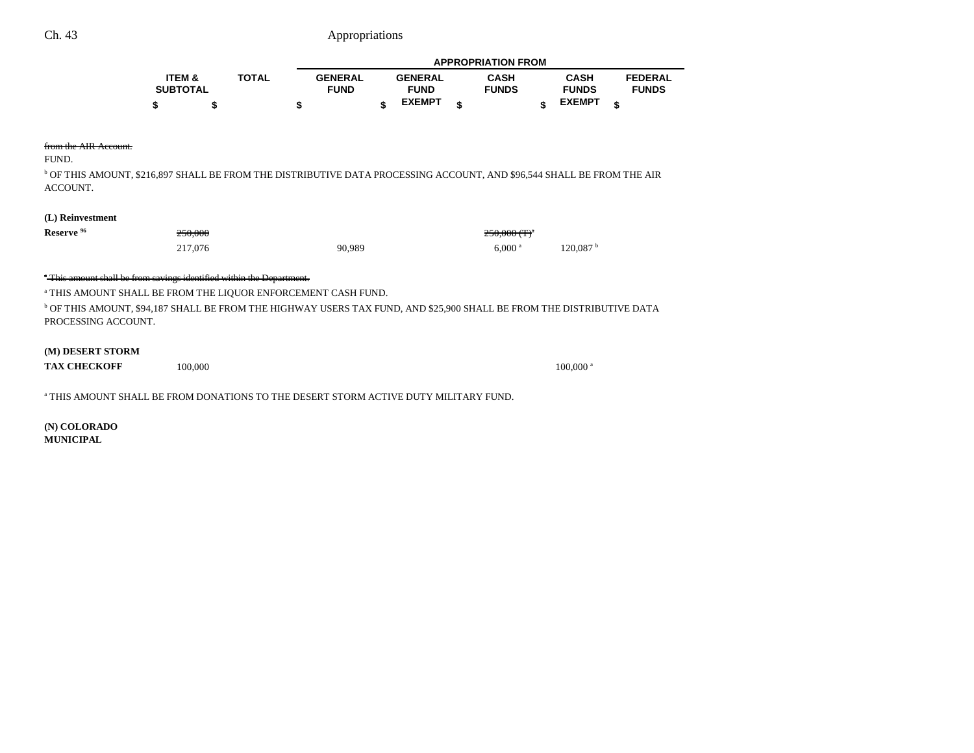|                   |              |                | <b>APPROPRIATION FROM</b> |                |  |              |  |               |                |  |
|-------------------|--------------|----------------|---------------------------|----------------|--|--------------|--|---------------|----------------|--|
| <b>ITEM &amp;</b> | <b>TOTAL</b> | <b>GENERAL</b> |                           | <b>GENERAL</b> |  | <b>CASH</b>  |  | <b>CASH</b>   | <b>FEDERAL</b> |  |
| <b>SUBTOTAL</b>   |              | <b>FUND</b>    |                           | <b>FUND</b>    |  | <b>FUNDS</b> |  | <b>FUNDS</b>  | <b>FUNDS</b>   |  |
|                   |              |                |                           | <b>EXEMPT</b>  |  |              |  | <b>EXEMPT</b> |                |  |

#### from the AIR Account.

FUND.

b OF THIS AMOUNT, \$216,897 SHALL BE FROM THE DISTRIBUTIVE DATA PROCESSING ACCOUNT, AND \$96,544 SHALL BE FROM THE AIR ACCOUNT.

## **(L) Reinvestment**

| Reserve <sup>96</sup> | 250.000<br>230.000 |        | $250,000$ (T) <sup>a</sup> |                      |
|-----------------------|--------------------|--------|----------------------------|----------------------|
|                       | 217,076            | 90,989 | $6.000$ a                  | 120.087 <sup>b</sup> |

### <sup>\*</sup> This amount shall be from savings identified within the Department.

a THIS AMOUNT SHALL BE FROM THE LIQUOR ENFORCEMENT CASH FUND.

 $^{\rm b}$  OF THIS AMOUNT, \$94,187 SHALL BE FROM THE HIGHWAY USERS TAX FUND, AND \$25,900 SHALL BE FROM THE DISTRIBUTIVE DATA PROCESSING ACCOUNT.

#### **(M) DESERT STORM**

**TAX CHECKOFF**100,000 100,000 a

a THIS AMOUNT SHALL BE FROM DONATIONS TO THE DESERT STORM ACTIVE DUTY MILITARY FUND.

**(N) COLORADO MUNICIPAL**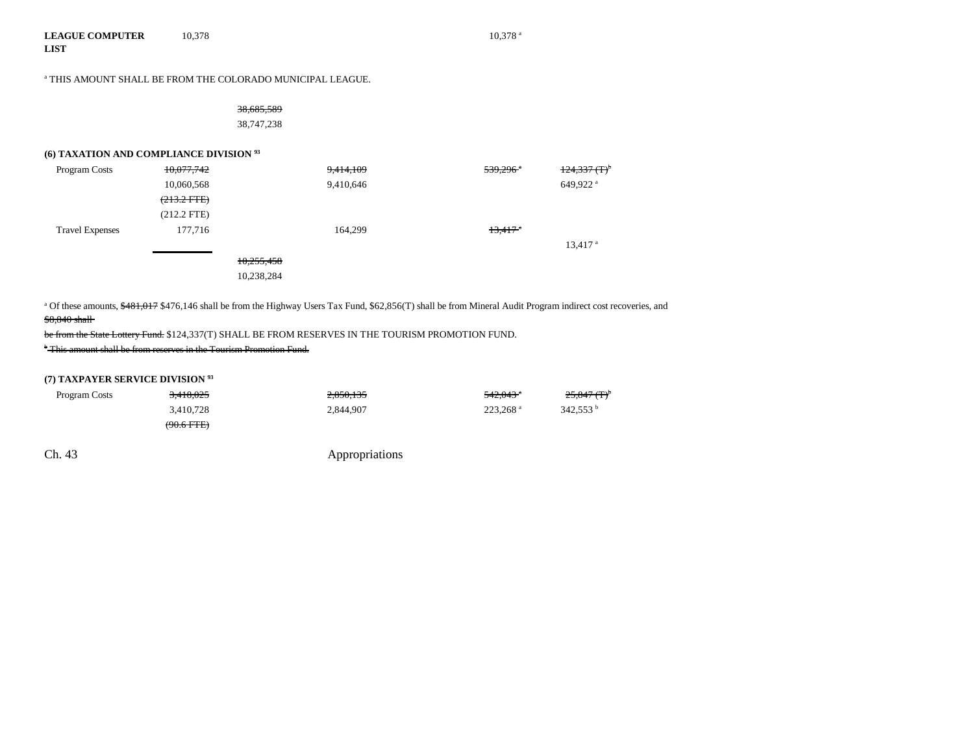#### **LEAGUE COMPUTERLIST** 10,378 10,378 a

a THIS AMOUNT SHALL BE FROM THE COLORADO MUNICIPAL LEAGUE.

| <del>38,685,589</del> |  |
|-----------------------|--|
| 38,747,238            |  |

## **(6) TAXATION AND COMPLIANCE DIVISION 93**

| Program Costs          | 10,077,742    | 9,414,109  | $539,296$ <sup>a</sup> | $124,337$ $(T)^5$     |
|------------------------|---------------|------------|------------------------|-----------------------|
|                        | 10,060,568    | 9,410,646  |                        | 649,922 <sup>a</sup>  |
|                        | $(213.2$ FTE) |            |                        |                       |
|                        | $(212.2$ FTE) |            |                        |                       |
| <b>Travel Expenses</b> | 177,716       | 164.299    | $13,417$ <sup>*</sup>  |                       |
|                        |               |            |                        | $13,417$ <sup>a</sup> |
|                        |               | 10,255,458 |                        |                       |
|                        |               | 10,238,284 |                        |                       |
|                        |               |            |                        |                       |

<sup>a</sup> Of these amounts, \$481,017 \$476,146 shall be from the Highway Users Tax Fund, \$62,856(T) shall be from Mineral Audit Program indirect cost recoveries, and \$8,840 shall

be from the State Lottery Fund. \$124,337(T) SHALL BE FROM RESERVES IN THE TOURISM PROMOTION FUND.

b This amount shall be from reserves in the Tourism Promotion Fund.

# **(7) TAXPAYER SERVICE DIVISION 93**

| Program Costs | <del>3,418,025</del>  | 2.850.135 | $542.043$ <sup>a</sup> | $25,847$ (T) <sup>b</sup> |
|---------------|-----------------------|-----------|------------------------|---------------------------|
|               | 3.410.728             | 2,844,907 | $223.268$ <sup>a</sup> | 342.553 <sup>b</sup>      |
|               | <del>(90.6 FTE)</del> |           |                        |                           |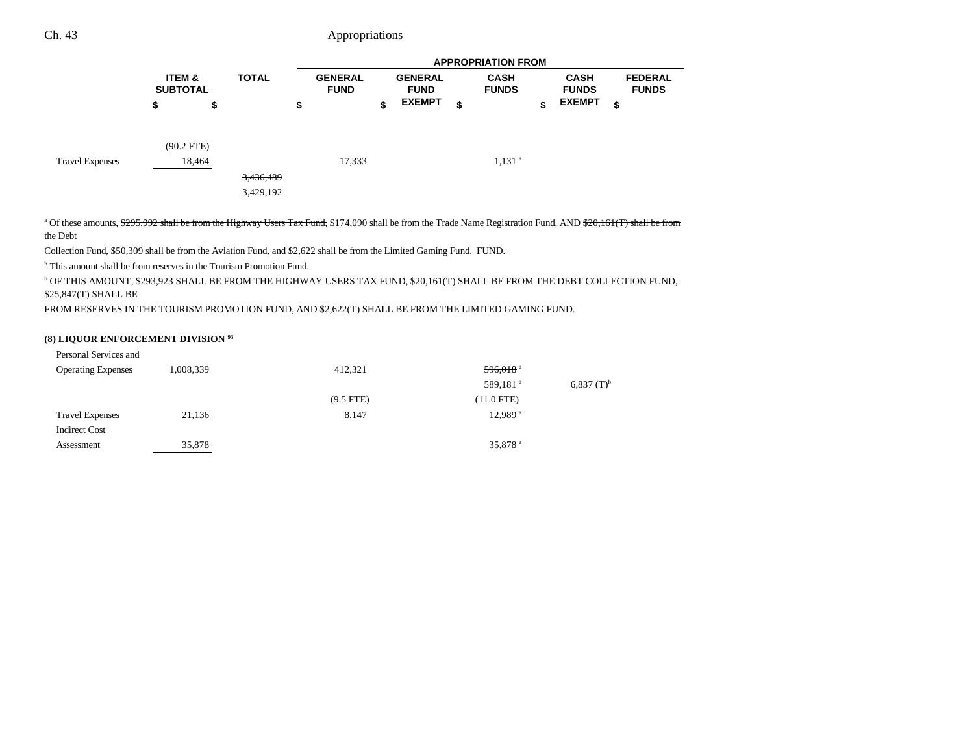|                        | <b>ITEM &amp;</b><br><b>SUBTOTAL</b> |              | <b>TOTAL</b> | <b>GENERAL</b><br><b>FUND</b> | <b>GENERAL</b><br><b>FUND</b> | <b>CASH</b><br><b>FUNDS</b> |    | <b>CASH</b><br><b>FUNDS</b> |    | <b>FEDERAL</b><br><b>FUNDS</b> |
|------------------------|--------------------------------------|--------------|--------------|-------------------------------|-------------------------------|-----------------------------|----|-----------------------------|----|--------------------------------|
|                        | \$                                   | \$           |              | \$                            | \$<br><b>EXEMPT</b>           | \$                          | \$ | <b>EXEMPT</b>               | \$ |                                |
|                        |                                      | $(90.2$ FTE) |              |                               |                               |                             |    |                             |    |                                |
| <b>Travel Expenses</b> |                                      | 18,464       |              | 17,333                        |                               | $1,131$ <sup>a</sup>        |    |                             |    |                                |
|                        |                                      |              | 3,436,489    |                               |                               |                             |    |                             |    |                                |
|                        |                                      |              | 3,429,192    |                               |                               |                             |    |                             |    |                                |

<sup>a</sup> Of these amounts, \$295,992 shall be from the Highway Users Tax Fund, \$174,090 shall be from the Trade Name Registration Fund, AND \$20,161(T) shall be from the Debt

Collection Fund, \$50,309 shall be from the Aviation Fund, and \$2,622 shall be from the Limited Gaming Fund. FUND.

b This amount shall be from reserves in the Tourism Promotion Fund.

b OF THIS AMOUNT, \$293,923 SHALL BE FROM THE HIGHWAY USERS TAX FUND, \$20,161(T) SHALL BE FROM THE DEBT COLLECTION FUND, \$25,847(T) SHALL BE

FROM RESERVES IN THE TOURISM PROMOTION FUND, AND \$2,622(T) SHALL BE FROM THE LIMITED GAMING FUND.

## **(8) LIQUOR ENFORCEMENT DIVISION 93**

| Personal Services and     |           |             |                        |                          |
|---------------------------|-----------|-------------|------------------------|--------------------------|
| <b>Operating Expenses</b> | 1,008,339 | 412,321     | $596,018$ <sup>a</sup> |                          |
|                           |           |             | 589,181 <sup>a</sup>   | $6,837$ (T) <sup>b</sup> |
|                           |           | $(9.5$ FTE) | $(11.0$ FTE)           |                          |
| <b>Travel Expenses</b>    | 21,136    | 8,147       | 12.989 <sup>a</sup>    |                          |
| <b>Indirect Cost</b>      |           |             |                        |                          |
| Assessment                | 35,878    |             | 35,878 <sup>a</sup>    |                          |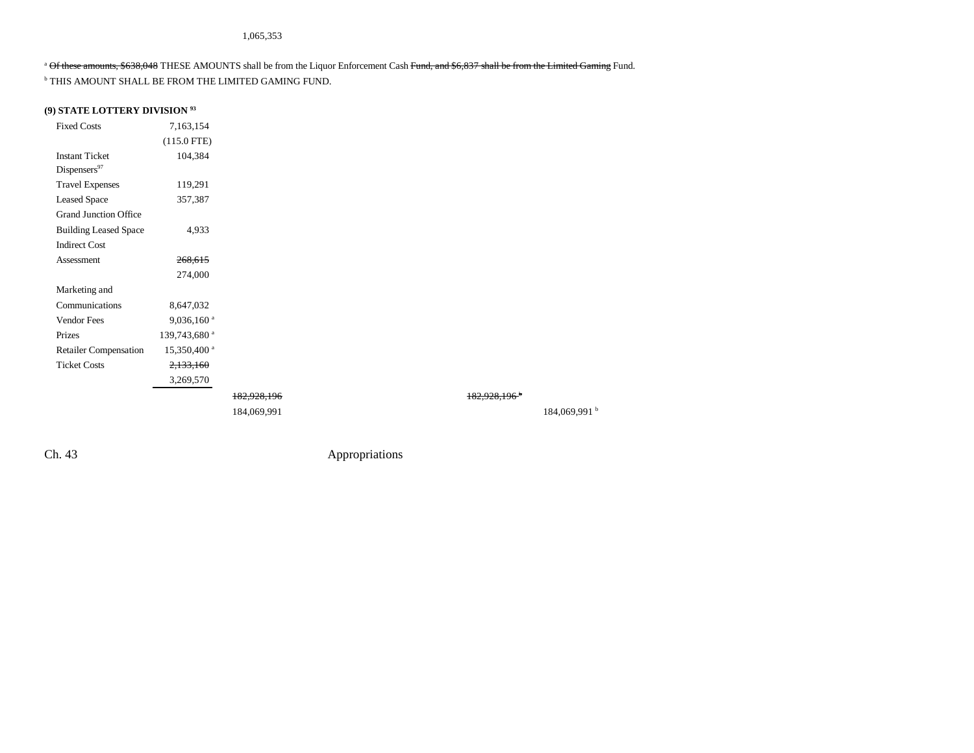## <sup>a</sup> Of these amounts, \$638,048 THESE AMOUNTS shall be from the Liquor Enforcement Cash Fund, and \$6,837 shall be from the Limited Gaming Fund.

b THIS AMOUNT SHALL BE FROM THE LIMITED GAMING FUND.

## **(9) STATE LOTTERY DIVISION 93**

| <b>Fixed Costs</b>                                | 7,163,154                |             |  |                          |                          |
|---------------------------------------------------|--------------------------|-------------|--|--------------------------|--------------------------|
|                                                   | $(115.0$ FTE)            |             |  |                          |                          |
| <b>Instant Ticket</b><br>Dispensers <sup>97</sup> | 104,384                  |             |  |                          |                          |
| <b>Travel Expenses</b>                            | 119,291                  |             |  |                          |                          |
| <b>Leased Space</b>                               | 357,387                  |             |  |                          |                          |
| <b>Grand Junction Office</b>                      |                          |             |  |                          |                          |
| <b>Building Leased Space</b>                      | 4,933                    |             |  |                          |                          |
| <b>Indirect Cost</b>                              |                          |             |  |                          |                          |
| Assessment                                        | 268,615                  |             |  |                          |                          |
|                                                   | 274,000                  |             |  |                          |                          |
| Marketing and                                     |                          |             |  |                          |                          |
| Communications                                    | 8,647,032                |             |  |                          |                          |
| Vendor Fees                                       | $9,036,160$ <sup>a</sup> |             |  |                          |                          |
| Prizes                                            | 139,743,680 <sup>a</sup> |             |  |                          |                          |
| <b>Retailer Compensation</b>                      | 15,350,400 <sup>a</sup>  |             |  |                          |                          |
| <b>Ticket Costs</b>                               | 2,133,160                |             |  |                          |                          |
|                                                   | 3,269,570                |             |  |                          |                          |
|                                                   |                          | 182,928,196 |  | 182,928,196 <sup>+</sup> |                          |
|                                                   |                          | 184,069,991 |  |                          | 184,069,991 <sup>b</sup> |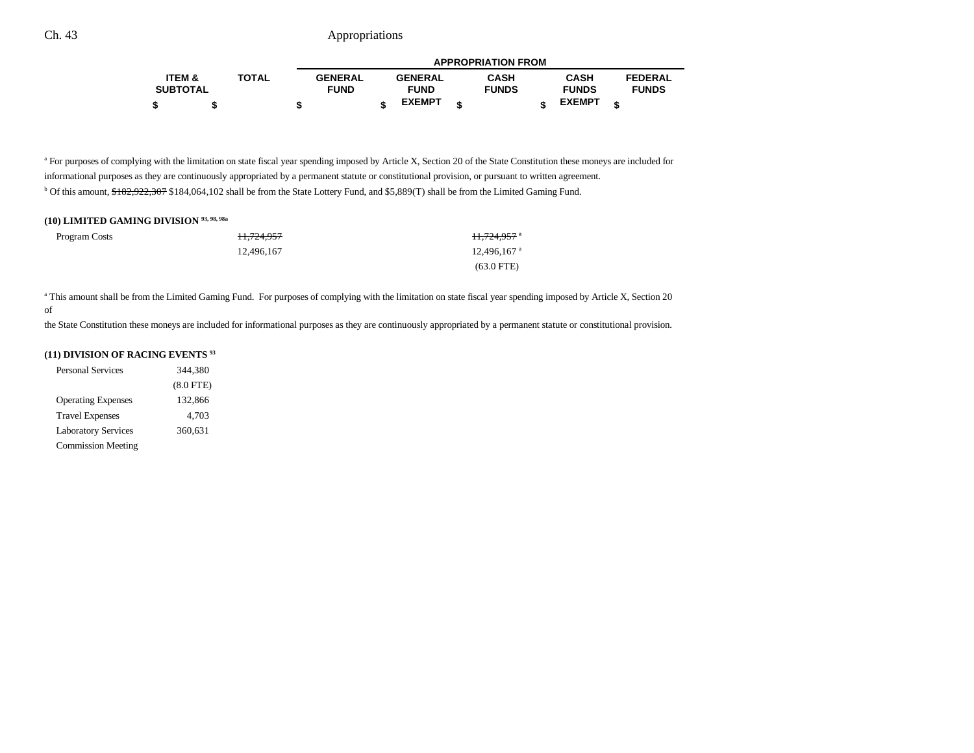|                 |              | <b>APPROPRIATION FROM</b> |  |                |  |              |  |               |                |  |
|-----------------|--------------|---------------------------|--|----------------|--|--------------|--|---------------|----------------|--|
| ITEM &          | <b>TOTAL</b> | <b>GENERAL</b>            |  | <b>GENERAL</b> |  | <b>CASH</b>  |  | <b>CASH</b>   | <b>FEDERAL</b> |  |
| <b>SUBTOTAL</b> |              | <b>FUND</b>               |  | <b>FUND</b>    |  | <b>FUNDS</b> |  | <b>FUNDS</b>  | <b>FUNDS</b>   |  |
|                 |              |                           |  | <b>EXEMPT</b>  |  |              |  | <b>EXEMPT</b> |                |  |

<sup>a</sup> For purposes of complying with the limitation on state fiscal year spending imposed by Article X, Section 20 of the State Constitution these moneys are included for informational purposes as they are continuously appropriated by a permanent statute or constitutional provision, or pursuant to written agreement. <sup>b</sup> Of this amount, \$182,922,307 \$184,064,102 shall be from the State Lottery Fund, and \$5,889(T) shall be from the Limited Gaming Fund.

# **(10) LIMITED GAMING DIVISION 93, 98, 98a**

| Program Costs | <del>11.724.957</del> | <del>11,724,957</del> *   |
|---------------|-----------------------|---------------------------|
|               | 12.496.167            | $12.496.167$ <sup>a</sup> |
|               |                       | $(63.0$ FTE)              |

<sup>a</sup> This amount shall be from the Limited Gaming Fund. For purposes of complying with the limitation on state fiscal year spending imposed by Article X, Section 20 of

the State Constitution these moneys are included for informational purposes as they are continuously appropriated by a permanent statute or constitutional provision.

## **(11) DIVISION OF RACING EVENTS 93**

| <b>Personal Services</b>   | 344,380     |  |  |  |  |
|----------------------------|-------------|--|--|--|--|
|                            | $(8.0$ FTE) |  |  |  |  |
| <b>Operating Expenses</b>  | 132.866     |  |  |  |  |
| <b>Travel Expenses</b>     | 4,703       |  |  |  |  |
| <b>Laboratory Services</b> | 360,631     |  |  |  |  |
| <b>Commission Meeting</b>  |             |  |  |  |  |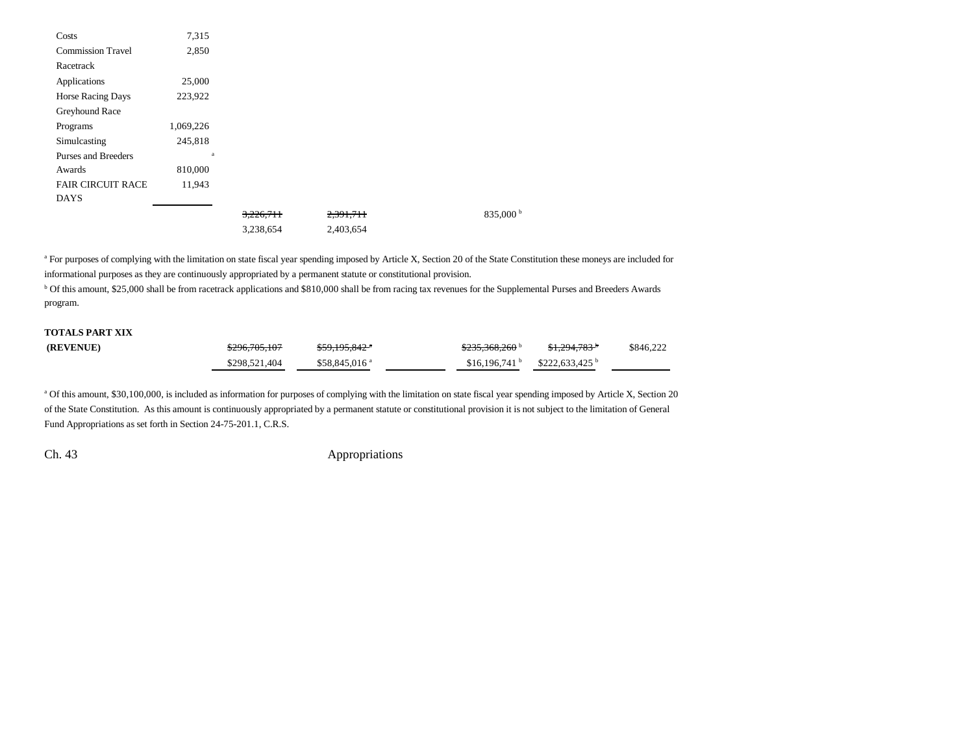| Costs                    | 7,315     |                      |                    |  |
|--------------------------|-----------|----------------------|--------------------|--|
| <b>Commission Travel</b> | 2,850     |                      |                    |  |
| Racetrack                |           |                      |                    |  |
| Applications             | 25,000    |                      |                    |  |
| <b>Horse Racing Days</b> | 223,922   |                      |                    |  |
| Greyhound Race           |           |                      |                    |  |
| Programs                 | 1,069,226 |                      |                    |  |
| Simulcasting             | 245,818   |                      |                    |  |
| Purses and Breeders      | a         |                      |                    |  |
| Awards                   | 810,000   |                      |                    |  |
| <b>FAIR CIRCUIT RACE</b> | 11,943    |                      |                    |  |
| <b>DAYS</b>              |           |                      |                    |  |
|                          |           | <del>3.226.711</del> | 2,391,711          |  |
|                          |           | $2.220$ $CFA$        | $2.402 \times 7.4$ |  |

835,000 b

3,238,654 2,403,654

<sup>a</sup> For purposes of complying with the limitation on state fiscal year spending imposed by Article X, Section 20 of the State Constitution these moneys are included for informational purposes as they are continuously appropriated by a permanent statute or constitutional provision.

<sup>b</sup> Of this amount, \$25,000 shall be from racetrack applications and \$810,000 shall be from racing tax revenues for the Supplemental Purses and Breeders Awards program.

# **TOTALS PART XIX**

| (REVENUE) | \$296,705,107 | $$59.195.842$ <sup>*</sup> | 0.025200000<br>3233.308.200 | $$1.294.783$ <sup>*</sup> | \$846,222 |
|-----------|---------------|----------------------------|-----------------------------|---------------------------|-----------|
|           | \$298,521,404 | $$58.845.016$ <sup>a</sup> | $$16.196.741$ b             | \$222.633.425             |           |

a Of this amount, \$30,100,000, is included as information for purposes of complying with the limitation on state fiscal year spending imposed by Article X, Section 20 of the State Constitution. As this amount is continuously appropriated by a permanent statute or constitutional provision it is not subject to the limitation of General Fund Appropriations as set forth in Section 24-75-201.1, C.R.S.